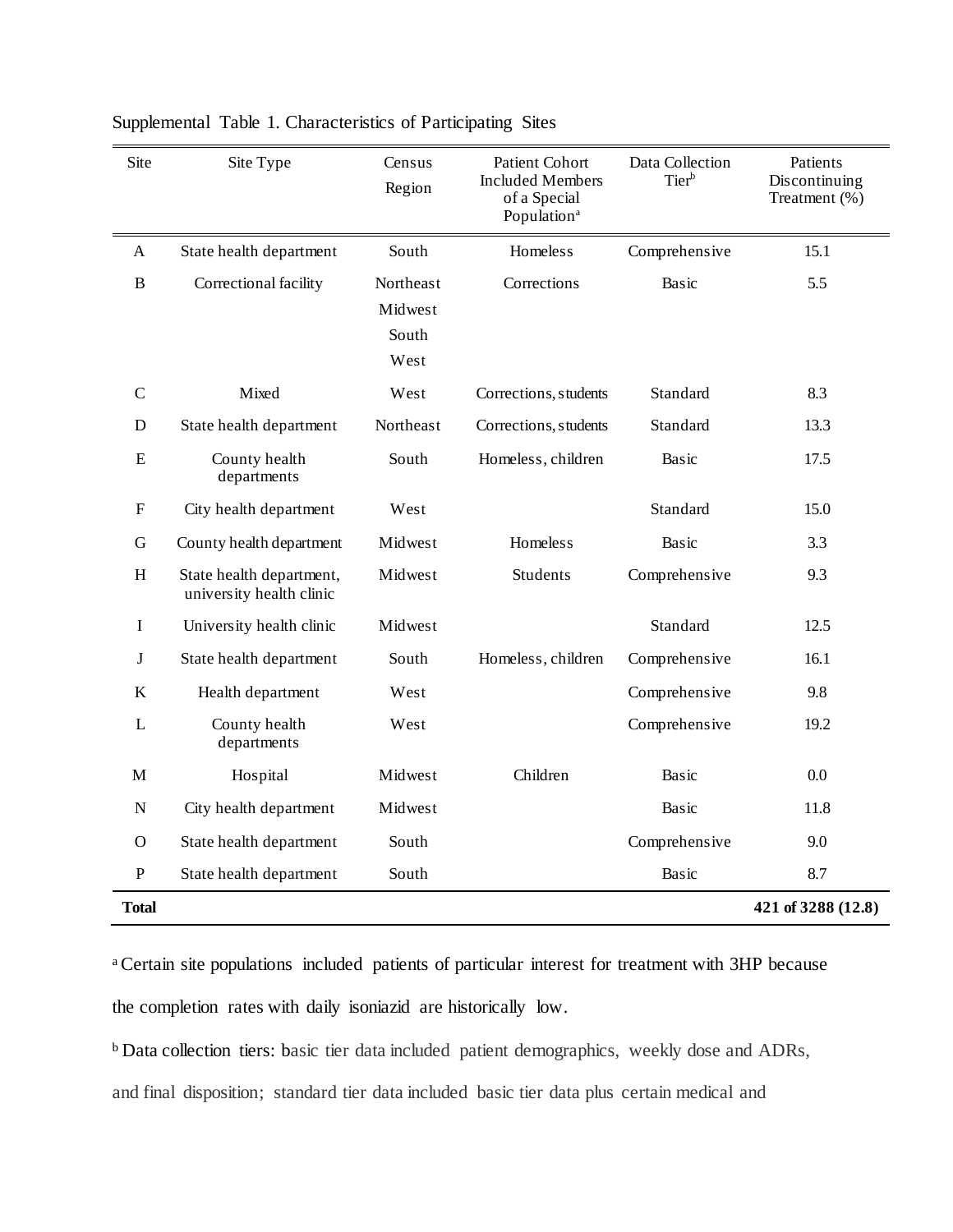| Site        | Site Type                                            | Census<br>Region                      | Patient Cohort<br><b>Included Members</b><br>of a Special<br>Population <sup>a</sup> | Data Collection<br>Tier <sup>b</sup> | Patients<br>Discontinuing<br>Treatment (%) |
|-------------|------------------------------------------------------|---------------------------------------|--------------------------------------------------------------------------------------|--------------------------------------|--------------------------------------------|
| A           | State health department                              | South                                 | <b>Homeless</b>                                                                      | Comprehensive                        | 15.1                                       |
| B           | Correctional facility                                | Northeast<br>Midwest<br>South<br>West | Corrections                                                                          | Basic                                | 5.5                                        |
| $\mathbf C$ | Mixed                                                | West                                  | Corrections, students                                                                | Standard                             | 8.3                                        |
| D           | State health department                              | Northeast                             | Corrections, students                                                                | Standard                             | 13.3                                       |
| ${\bf E}$   | County health<br>departments                         | South                                 | Homeless, children                                                                   | Basic                                | 17.5                                       |
| F           | City health department                               | West                                  |                                                                                      | Standard                             | 15.0                                       |
| G           | County health department                             | Midwest                               | <b>Homeless</b>                                                                      | Basic                                | 3.3                                        |
| H           | State health department,<br>university health clinic | Midwest                               | <b>Students</b>                                                                      | Comprehensive                        | 9.3                                        |
| I           | University health clinic                             | Midwest                               |                                                                                      | Standard                             | 12.5                                       |
| J           | State health department                              | South                                 | Homeless, children                                                                   | Comprehensive                        | 16.1                                       |
| $\bf K$     | Health department                                    | West                                  |                                                                                      | Comprehensive                        | 9.8                                        |
| L           | County health<br>departments                         | West                                  |                                                                                      | Comprehensive                        | 19.2                                       |
| М           | Hospital                                             | Midwest                               | Children                                                                             | Basic                                | 0.0                                        |
| N           | City health department                               | Midwest                               |                                                                                      | Basic                                | 11.8                                       |
| $\Omega$    | State health department                              | South                                 |                                                                                      | Comprehensive                        | 9.0                                        |
| ${\bf P}$   | State health department                              | South                                 |                                                                                      | Basic                                | 8.7                                        |
| Total       |                                                      |                                       |                                                                                      |                                      | 421 of 3288 (12.8)                         |

Supplemental Table 1. Characteristics of Participating Sites

<sup>a</sup>Certain site populations included patients of particular interest for treatment with 3HP because the completion rates with daily isoniazid are historically low.

<sup>b</sup> Data collection tiers: basic tier data included patient demographics, weekly dose and ADRs,

and final disposition; standard tier data included basic tier data plus certain medical and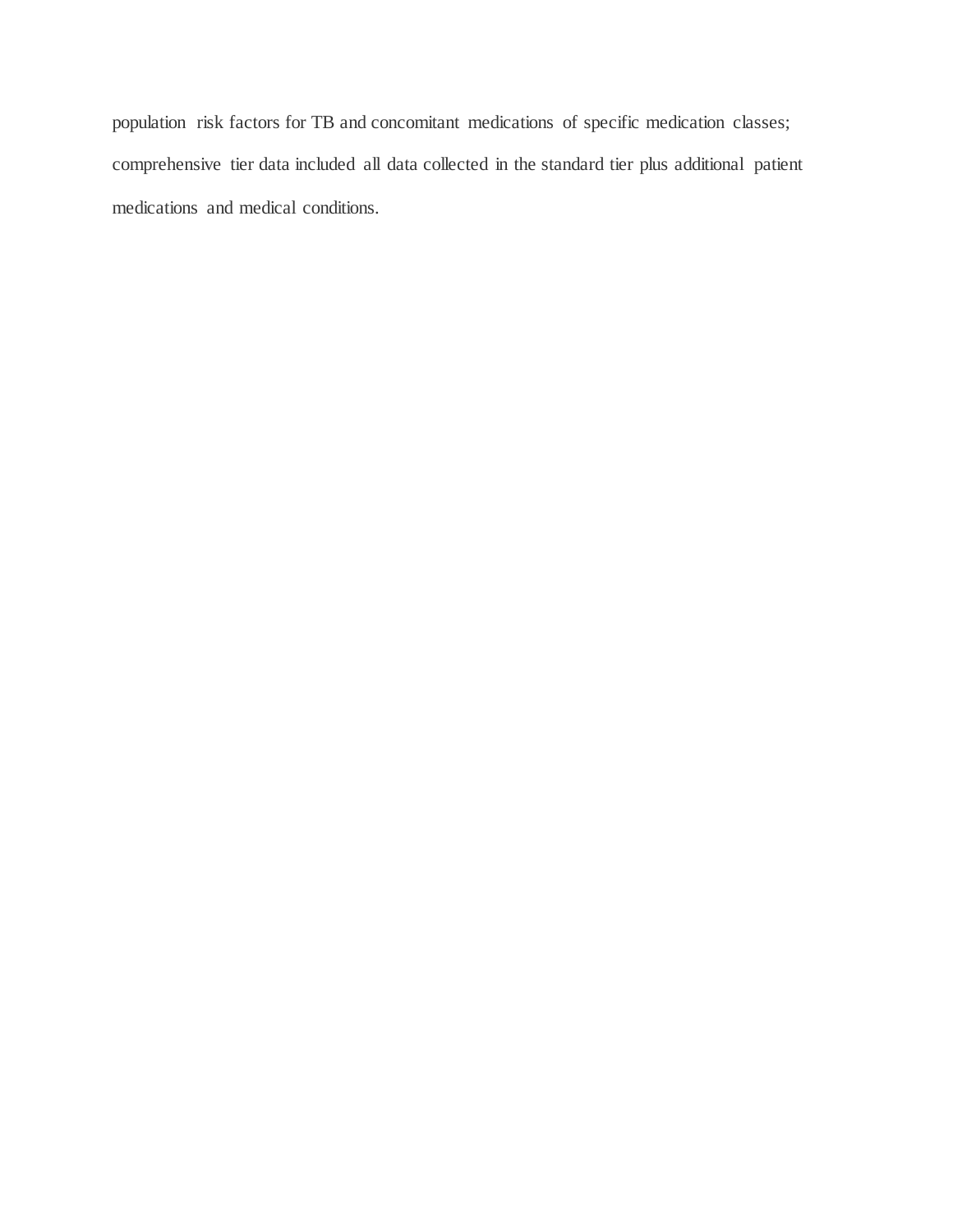population risk factors for TB and concomitant medications of specific medication classes; comprehensive tier data included all data collected in the standard tier plus additional patient medications and medical conditions.